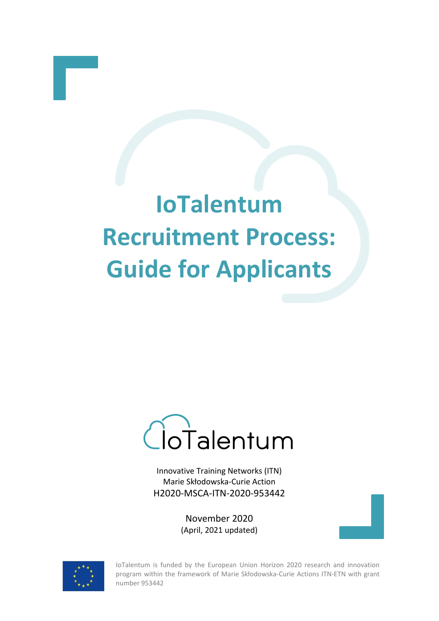# **IoTalentum Recruitment Process: Guide for Applicants**



Innovative Training Networks (ITN) Marie Skłodowska‐Curie Action H2020‐MSCA‐ITN‐2020-953442

> November 2020 (April, 2021 updated)



IoTalentum is funded by the European Union Horizon 2020 research and innovation program within the framework of Marie Skłodowska-Curie Actions ITN-ETN with grant number 953442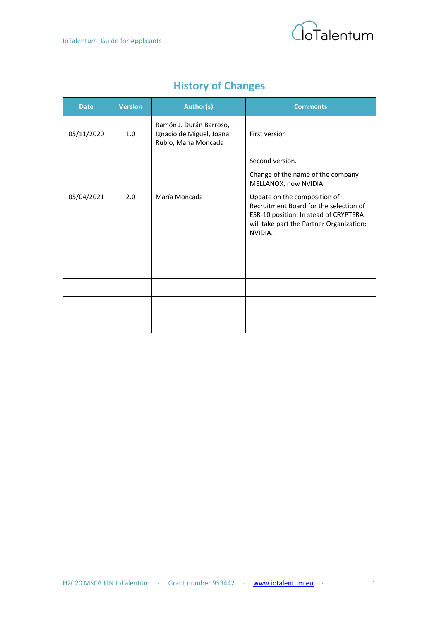

# **History of Changes**

| <b>Date</b> | <b>Version</b> | <b>Author(s)</b>                                                            | <b>Comments</b>                                                                                                                                                                                                                                         |  |
|-------------|----------------|-----------------------------------------------------------------------------|---------------------------------------------------------------------------------------------------------------------------------------------------------------------------------------------------------------------------------------------------------|--|
| 05/11/2020  | 1.0            | Ramón J. Durán Barroso,<br>Ignacio de Miguel, Joana<br>Rubio, María Moncada | First version                                                                                                                                                                                                                                           |  |
| 05/04/2021  | 2.0            | María Moncada                                                               | Second version.<br>Change of the name of the company<br>MELLANOX, now NVIDIA.<br>Update on the composition of<br>Recruitment Board for the selection of<br>ESR-10 position. In stead of CRYPTERA<br>will take part the Partner Organization:<br>NVIDIA. |  |
|             |                |                                                                             |                                                                                                                                                                                                                                                         |  |
|             |                |                                                                             |                                                                                                                                                                                                                                                         |  |
|             |                |                                                                             |                                                                                                                                                                                                                                                         |  |
|             |                |                                                                             |                                                                                                                                                                                                                                                         |  |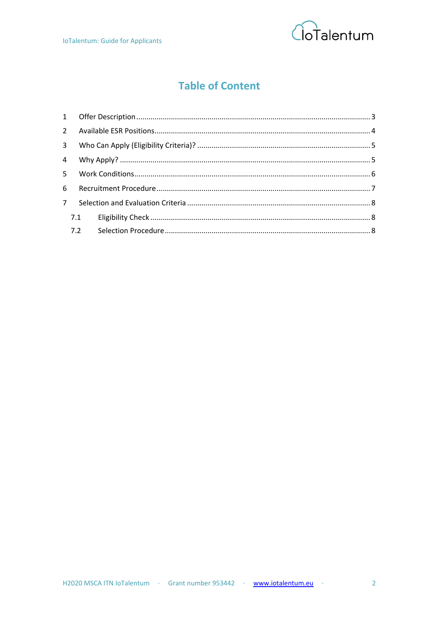

## **Table of Content**

| 3 <sup>7</sup> |  |  |  |  |  |
|----------------|--|--|--|--|--|
|                |  |  |  |  |  |
|                |  |  |  |  |  |
|                |  |  |  |  |  |
| $7^{\circ}$    |  |  |  |  |  |
|                |  |  |  |  |  |
|                |  |  |  |  |  |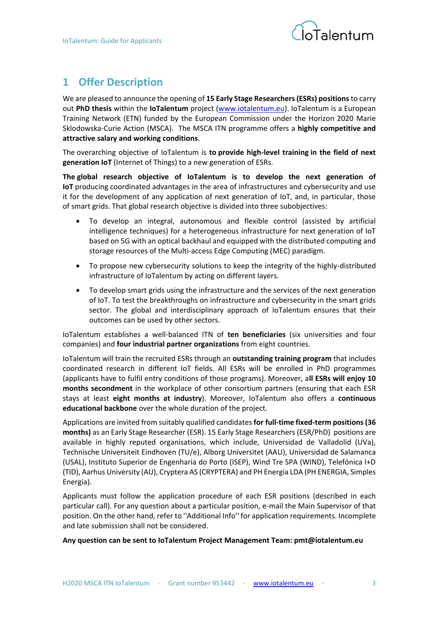

## <span id="page-3-0"></span>**1 Offer Description**

We are pleased to announce the opening of **15 Early Stage Researchers (ESRs) positions**to carry out **PhD thesis** within the **IoTalentum** project [\(www.iotalentum.eu\)](http://www.iotalentum.eu/). IoTalentum is a European Training Network (ETN) funded by the European Commission under the Horizon 2020 Marie Sklodowska-Curie Action (MSCA). The MSCA ITN programme offers a **highly competitive and attractive salary and working conditions**.

The overarching objective of IoTalentum is **to provide high-level training in the field of next generation IoT**(Internet of Things) to a new generation of ESRs.

**The global research objective of IoTalentum is to develop the next generation of IoT**producing coordinated advantages in the area of infrastructures and cybersecurity and use it for the development of any application of next generation of IoT, and, in particular, those of smart grids. That global research objective is divided into three subobjectives:

- To develop an integral, autonomous and flexible control (assisted by artificial intelligence techniques) for a heterogeneous infrastructure for next generation of IoT based on 5G with an optical backhaul and equipped with the distributed computing and storage resources of the Multi-access Edge Computing (MEC) paradigm.
- To propose new cybersecurity solutions to keep the integrity of the highly-distributed infrastructure of IoTalentum by acting on different layers.
- To develop smart grids using the infrastructure and the services of the next generation of IoT. To test the breakthroughs on infrastructure and cybersecurity in the smart grids sector. The global and interdisciplinary approach of IoTalentum ensures that their outcomes can be used by other sectors.

IoTalentum establishes a well-balanced ITN of **ten beneficiaries** (six universities and four companies) and **four industrial partner organizations** from eight countries.

IoTalentum will train the recruited ESRs through an **outstanding training program** that includes coordinated research in different IoT fields. All ESRs will be enrolled in PhD programmes (applicants have to fulfil entry conditions of those programs). Moreover, a**ll ESRs will enjoy 10 months secondment** in the workplace of other consortium partners (ensuring that each ESR stays at least **eight months at industry**). Moreover, IoTalentum also offers a **continuous educational backbone** over the whole duration of the project. 

Applications are invited from suitably qualified candidates **for full-time fixed-term positions(36 months)** as an Early Stage Researcher (ESR). 15 Early Stage Researchers (ESR/PhD) positions are available in highly reputed organisations, which include, Universidad de Valladolid (UVa), Technische Universiteit Eindhoven (TU/e), Alborg Universitet (AAU), Universidad de Salamanca (USAL), Instituto Superior de Engenharia do Porto (ISEP), Wind Tre SPA (WIND), Telefónica I+D (TID), Aarhus University (AU), Cryptera AS (CRYPTERA) and PH Energia LDA (PH ENERGIA, Simples Energia).

Applicants must follow the application procedure of each ESR positions (described in each particular call). For any question about a particular position, e-mail the Main Supervisor of that position. On the other hand, refer to ''Additional Info'' for application requirements. Incomplete and late submission shall not be considered.

**Any question can be sent to IoTalentum Project Management Team: pmt@iotalentum.eu**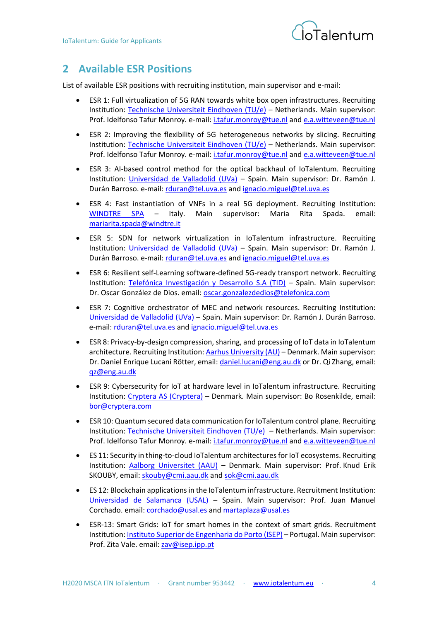

## <span id="page-4-0"></span>**2 Available ESR Positions**

List of available ESR positions with recruiting institution, main supervisor and e-mail:

- ESR 1: Full virtualization of 5G RAN towards white box open infrastructures. Recruiting Institution: [Technische Universiteit Eindhoven \(TU/e\)](https://www.tue.nl/en/) – Netherlands. Main supervisor: Prof. Idelfonso Tafur Monroy. e-mail: [i.tafur.monroy@tue.nl](mailto:i.tafur.monroy@tue.nl) and [e.a.witteveen@tue.nl](mailto:e.a.witteveen@tue.nl)
- ESR 2: Improving the flexibility of 5G heterogeneous networks by slicing. Recruiting Institution: [Technische Universiteit Eindhoven \(TU/e\)](https://www.tue.nl/en/) – Netherlands. Main supervisor: Prof. Idelfonso Tafur Monroy. e-mail: [i.tafur.monroy@tue.nl](mailto:i.tafur.monroy@tue.nl) and e.a.witteveen@tue.nl
- ESR 3: AI-based control method for the optical backhaul of IoTalentum. Recruiting Institution: [Universidad de Valladolid \(UVa\)](http://www.uva.es/) – Spain. Main supervisor: Dr. Ramón J. Durán Barroso. e-mail: [rduran@tel.uva.es](mailto:rduran@tel.uva.es) and ignacio.miguel@tel.uva.es
- ESR 4: Fast instantiation of VNFs in a real 5G deployment. Recruiting Institution: [WINDTRE SPA](https://www.windtre.it/) – Italy. Main supervisor: Maria Rita Spada. email: [mariarita.spada@windtre.it](mailto:mariarita.spada@windtre.it)
- ESR 5: SDN for network virtualization in IoTalentum infrastructure. Recruiting Institution: [Universidad de Valladolid \(UVa\)](http://www.uva.es/) – Spain. Main supervisor: Dr. Ramón J. Durán Barroso. e-mail: [rduran@tel.uva.es](mailto:rduran@tel.uva.es) and ignacio.miguel@tel.uva.es
- ESR 6: Resilient self-Learning software-defined 5G-ready transport network. Recruiting Institution: [Telefónica Investigación y Desarrollo S.A \(TID\)](https://www.telefonica.com/es/home) – Spain. Main supervisor: Dr. Oscar González de Dios. email: [oscar.gonzalezdedios@telefonica.com](mailto:oscar.gonzalezdedios@telefonica.com)
- ESR 7: Cognitive orchestrator of MEC and network resources. Recruiting Institution: [Universidad de Valladolid \(UVa\)](http://www.uva.es/) – Spain. Main supervisor: Dr. Ramón J. Durán Barroso. e-mail: [rduran@tel.uva.es](mailto:rduran@tel.uva.es) and [ignacio.miguel@tel.uva.es](mailto:ignacio.miguel@tel.uva.es)
- ESR 8: Privacy-by-design compression, sharing, and processing of IoT data in IoTalentum architecture. Recruiting Institution[: Aarhus University \(AU\)](https://international.au.dk/) – Denmark. Main supervisor: Dr. Daniel Enrique Lucani Rötter, email: [daniel.lucani@eng.au.dk](mailto:daniel.lucani@eng.au.dk) or Dr. Qi Zhang, email: [qz@eng.au.dk](mailto:qz@eng.au.dk)
- ESR 9: Cybersecurity for IoT at hardware level in IoTalentum infrastructure. Recruiting Institution: [Cryptera AS \(Cryptera\)](https://www.cryptera.com/) – Denmark. Main supervisor: Bo Rosenkilde, email: [bor@cryptera.com](mailto:bor@cryptera.com)
- ESR 10: Quantum secured data communication for IoTalentum control plane. Recruiting Institution: [Technische Universiteit Eindhoven \(TU/e\)](https://www.tue.nl/en/) – Netherlands. Main supervisor: Prof. Idelfonso Tafur Monroy. e-mail: [i.tafur.monroy@tue.nl](mailto:i.tafur.monroy@tue.nl) and [e.a.witteveen@tue.nl](mailto:e.a.witteveen@tue.nl)
- ES 11: Security in thing-to-cloud IoTalentum architectures for IoT ecosystems. Recruiting Institution: [Aalborg Universitet](https://www.en.aau.dk/) (AAU) – Denmark. Main supervisor: Prof. Knud Erik SKOUBY, email[: skouby@cmi.aau.dk](mailto:skouby@cmi.aau.dk) an[d sok@cmi.aau.dk](mailto:sok@cmi.aau.dk)
- ES 12: Blockchain applications in the IoTalentum infrastructure. Recruitment Institution: [Universidad de Salamanca \(USAL\)](https://www.usal.es/) – Spain. Main supervisor: Prof. Juan Manuel Corchado. email: [corchado@usal.es](mailto:corchado@usal.es) an[d martaplaza@usal.es](mailto:martaplaza@usal.es)
- ESR-13: Smart Grids: IoT for smart homes in the context of smart grids. Recruitment Institution[: Instituto Superior de Engenharia do Porto \(ISEP\)](https://www.isep.pt/) – Portugal. Main supervisor: Prof. Zita Vale. email: [zav@isep.ipp.pt](mailto:zav@isep.ipp.pt)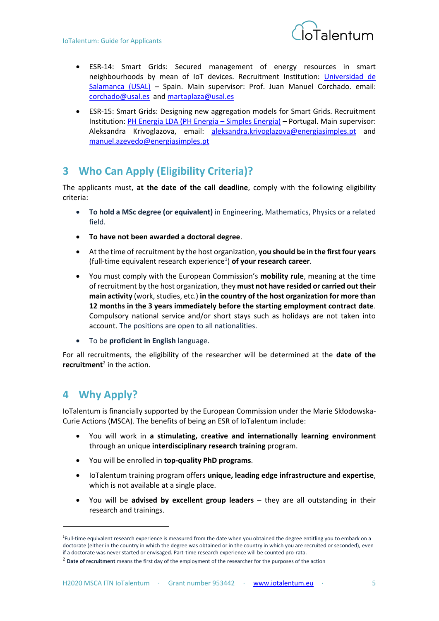

- ESR-14: Smart Grids: Secured management of energy resources in smart neighbourhoods by mean of IoT devices. Recruitment Institution: [Universidad de](https://www.usal.es/)  [Salamanca \(USAL\)](https://www.usal.es/) – Spain. Main supervisor: Prof. Juan Manuel Corchado. email: [corchado@usal.es](mailto:corchado@usal.es) and [martaplaza@usal.es](mailto:martaplaza@usal.es)
- ESR-15: Smart Grids: Designing new aggregation models for Smart Grids. Recruitment Institution: PH Energia [LDA \(PH Energia](https://www.energiasimples.pt/) – Simples Energia) – Portugal. Main supervisor: Aleksandra Krivoglazova, email: [aleksandra.krivoglazova@energiasimples.pt](mailto:aleksandra.krivoglazova@energiasimples.pt) and [manuel.azevedo@energiasimples.pt](mailto:manuel.azevedo@energiasimples.pt)

## <span id="page-5-0"></span>**3 Who Can Apply (Eligibility Criteria)?**

The applicants must, **at the date of the call deadline**, comply with the following eligibility criteria:

- **To hold a MSc degree (or equivalent)** in Engineering, Mathematics, Physics or a related field.
- **To have not been awarded a doctoral degree**.
- At the time of recruitment by the host organization, **you should be in the first four years** (full-time equivalent research experience<sup>1</sup> ) **of your research career**.
- You must comply with the European Commission's **mobility rule**, meaning at the time of recruitment by the host organization, they **must not have resided or carried out their main activity** (work, studies, etc.) **in the country of the host organization for more than 12 months in the 3 years immediately before the starting employment contract date**. Compulsory national service and/or short stays such as holidays are not taken into account. The positions are open to all nationalities.
- To be **proficient in English** language.

For all recruitments, the eligibility of the researcher will be determined at the **date of the recruitment**<sup>2</sup> in the action.

## <span id="page-5-1"></span>**4 Why Apply?**

 $\overline{a}$ 

IoTalentum is financially supported by the European Commission under the Marie Skłodowska-Curie Actions (MSCA). The benefits of being an ESR of IoTalentum include:

- You will work in **a stimulating, creative and internationally learning environment** through an unique **interdisciplinary research training** program.
- You will be enrolled in **top-quality PhD programs**.
- IoTalentum training program offers **unique, leading edge infrastructure and expertise**, which is not available at a single place.
- You will be **advised by excellent group leaders** they are all outstanding in their research and trainings.

<sup>&</sup>lt;sup>1</sup>Full-time equivalent research experience is measured from the date when you obtained the degree entitling you to embark on a doctorate (either in the country in which the degree was obtained or in the country in which you are recruited or seconded), even if a doctorate was never started or envisaged. Part-time research experience will be counted pro-rata.

<sup>2</sup> **Date of recruitment** means the first day of the employment of the researcher for the purposes of the action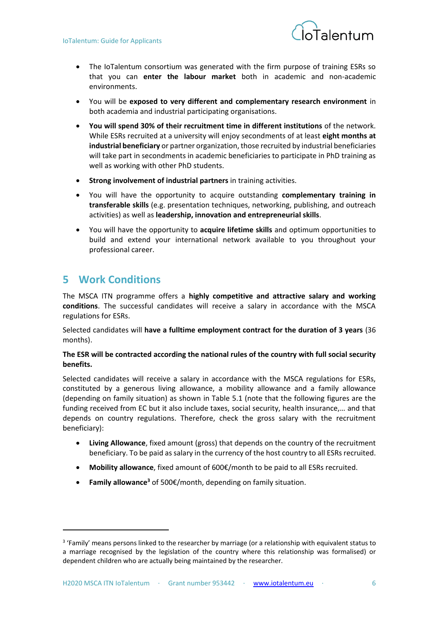

- The IoTalentum consortium was generated with the firm purpose of training ESRs so that you can **enter the labour market** both in academic and non-academic environments.
- You will be **exposed to very different and complementary research environment** in both academia and industrial participating organisations.
- **You will spend 30% of their recruitment time in different institutions** of the network. While ESRs recruited at a university will enjoy secondments of at least **eight months at industrial beneficiary** or partner organization, those recruited by industrial beneficiaries will take part in secondments in academic beneficiaries to participate in PhD training as well as working with other PhD students.
- **Strong involvement of industrial partners** in training activities.
- You will have the opportunity to acquire outstanding **complementary training in transferable skills** (e.g. presentation techniques, networking, publishing, and outreach activities) as well as **leadership, innovation and entrepreneurial skills**.
- You will have the opportunity to **acquire lifetime skills** and optimum opportunities to build and extend your international network available to you throughout your professional career.

## <span id="page-6-0"></span>**5 Work Conditions**

 $\overline{a}$ 

The MSCA ITN programme offers a **highly competitive and attractive salary and working conditions**. The successful candidates will receive a salary in accordance with the MSCA regulations for ESRs.

Selected candidates will **have a fulltime employment contract for the duration of 3 years** (36 months).

#### **The ESR will be contracted according the national rules of the country with full social security benefits.**

Selected candidates will receive a salary in accordance with the MSCA regulations for ESRs, constituted by a generous living allowance, a mobility allowance and a family allowance (depending on family situation) as shown in [Table 5.1](#page-7-1) (note that the following figures are the funding received from EC but it also include taxes, social security, health insurance,… and that depends on country regulations. Therefore, check the gross salary with the recruitment beneficiary):

- **Living Allowance**, fixed amount (gross) that depends on the country of the recruitment beneficiary. To be paid as salary in the currency of the host country to all ESRs recruited.
- **Mobility allowance**, fixed amount of 600€/month to be paid to all ESRs recruited.
- **Family allowance<sup>3</sup>** of 500€/month, depending on family situation.

<sup>&</sup>lt;sup>3</sup> 'Family' means persons linked to the researcher by marriage (or a relationship with equivalent status to a marriage recognised by the legislation of the country where this relationship was formalised) or dependent children who are actually being maintained by the researcher.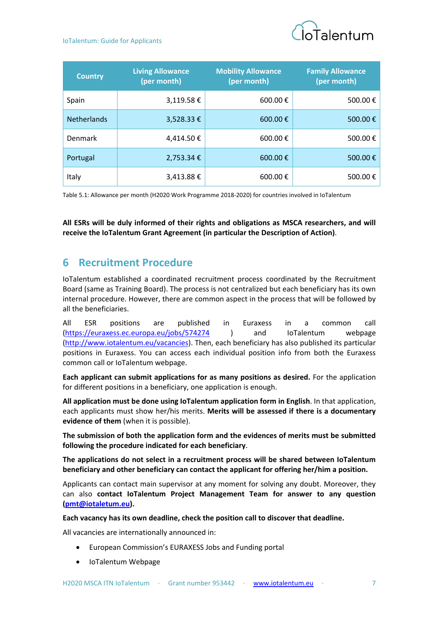#### IoTalentum: Guide for Applicants



| <b>Country</b>     | <b>Living Allowance</b><br>(per month) | <b>Mobility Allowance</b><br>(per month) | <b>Family Allowance</b><br>(per month) |
|--------------------|----------------------------------------|------------------------------------------|----------------------------------------|
| Spain              | 3,119.58€                              | 600.00 $\epsilon$                        | 500.00€                                |
| <b>Netherlands</b> | 3,528.33 €                             | 600.00 $\epsilon$                        | 500.00€                                |
| Denmark            | 4,414.50€                              | 600.00 $\epsilon$                        | 500.00€                                |
| Portugal           | 2,753.34 €                             | 600.00€                                  | 500.00€                                |
| Italy              |                                        | 600.00 €                                 | 500.00€                                |

<span id="page-7-1"></span>Table 5.1: Allowance per month (H2020 Work Programme 2018-2020) for countries involved in IoTalentum

**All ESRs will be duly informed of their rights and obligations as MSCA researchers, and will receive the IoTalentum Grant Agreement (in particular the Description of Action)**.

## <span id="page-7-0"></span>**6 Recruitment Procedure**

IoTalentum established a coordinated recruitment process coordinated by the Recruitment Board (same as Training Board). The process is not centralized but each beneficiary has its own internal procedure. However, there are common aspect in the process that will be followed by all the beneficiaries.

All ESR positions are published in Euraxess in a common call [\(https://euraxess.ec.europa.eu/jobs/574274](https://euraxess.ec.europa.eu/jobs/574274) ) and IoTalentum webpage [\(http://www.iotalentum.eu/vacancies\)](http://www.iotalentum.eu/vacancies). Then, each beneficiary has also published its particular positions in Euraxess. You can access each individual position info from both the Euraxess common call or IoTalentum webpage.

**Each applicant can submit applications for as many positions as desired.** For the application for different positions in a beneficiary, one application is enough.

**All application must be done using IoTalentum application form in English**. In that application, each applicants must show her/his merits. **Merits will be assessed if there is a documentary evidence of them** (when it is possible).

**The submission of both the application form and the evidences of merits must be submitted following the procedure indicated for each beneficiary**.

**The applications do not select in a recruitment process will be shared between IoTalentum beneficiary and other beneficiary can contact the applicant for offering her/him a position.** 

Applicants can contact main supervisor at any moment for solving any doubt. Moreover, they can also **contact IoTalentum Project Management Team for answer to any question [\(pmt@iotaletum.eu\)](mailto:pmt@iotaletum.eu).**

**Each vacancy has its own deadline, check the position call to discover that deadline.** 

All vacancies are internationally announced in:

- European Commission's EURAXESS Jobs and Funding portal
- IoTalentum Webpage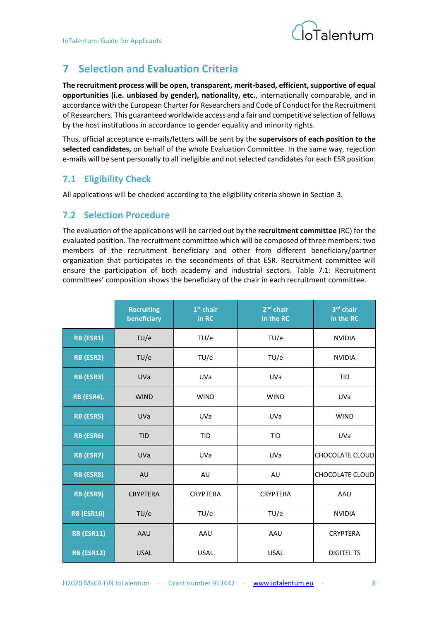

## <span id="page-8-0"></span>**7 Selection and Evaluation Criteria**

**The recruitment process will be open, transparent, merit-based, efficient, supportive of equal opportunities (i.e. unbiased by gender), nationality, etc.**, internationally comparable, and in accordance with the European Charter for Researchers and Code of Conduct for the Recruitment of Researchers. This guaranteed worldwide access and a fair and competitive selection of fellows by the host institutions in accordance to gender equality and minority rights.

Thus, official acceptance e-mails/letters will be sent by the **supervisors of each position to the selected candidates,** on behalf of the whole Evaluation Committee. In the same way, rejection e-mails will be sent personally to all ineligible and not selected candidates for each ESR position.

### <span id="page-8-1"></span>**7.1 Eligibility Check**

All applications will be checked according to the eligibility criteria shown in Section [3.](#page-5-0)

#### <span id="page-8-2"></span>**7.2 Selection Procedure**

The evaluation of the applications will be carried out by the **recruitment committee** (RC) for the evaluated position. The recruitment committee which will be composed of three members: two members of the recruitment beneficiary and other from different beneficiary/partner organization that participates in the secondments of that ESR. Recruitment committee will ensure the participation of both academy and industrial sectors. [Table 7.1: Recruitment](#page-9-0)  [committees'](#page-9-0) composition shows the beneficiary of the chair in each recruitment committee.

|                   | <b>Recruiting</b><br>beneficiary | $1st$ chair<br>in RC | $2nd$ chair<br>in the RC | 3rd chair<br>in the RC |
|-------------------|----------------------------------|----------------------|--------------------------|------------------------|
| RB (ESR1)         | TU/e                             | TU/e                 | TU/e                     | <b>NVIDIA</b>          |
| RB (ESR2)         | TU/e                             | TU/e                 | TU/e                     | <b>NVIDIA</b>          |
| RB (ESR3)         | <b>UVa</b>                       | UVa                  | <b>UVa</b>               | <b>TID</b>             |
| RB (ESR4).        | <b>WIND</b>                      | <b>WIND</b>          | <b>WIND</b>              | <b>UVa</b>             |
| RB (ESR5)         | UVa                              | <b>UVa</b>           | <b>UVa</b>               | <b>WIND</b>            |
| RB (ESR6)         | <b>TID</b>                       | <b>TID</b>           | <b>TID</b>               | <b>UVa</b>             |
| RB (ESR7)         | <b>UVa</b>                       | <b>UVa</b>           | UVa                      | <b>CHOCOLATE CLOUD</b> |
| RB (ESR8)         | AU                               | AU                   | AU                       | <b>CHOCOLATE CLOUD</b> |
| RB (ESR9)         | <b>CRYPTERA</b>                  | <b>CRYPTERA</b>      | <b>CRYPTERA</b>          | AAU                    |
| <b>RB (ESR10)</b> | TU/e                             | TU/e                 | TU/e                     | <b>NVIDIA</b>          |
| <b>RB (ESR11)</b> | AAU                              | AAU                  | AAU                      | <b>CRYPTERA</b>        |
| <b>RB (ESR12)</b> | <b>USAL</b>                      | <b>USAL</b>          | <b>USAL</b>              | <b>DIGITEL TS</b>      |